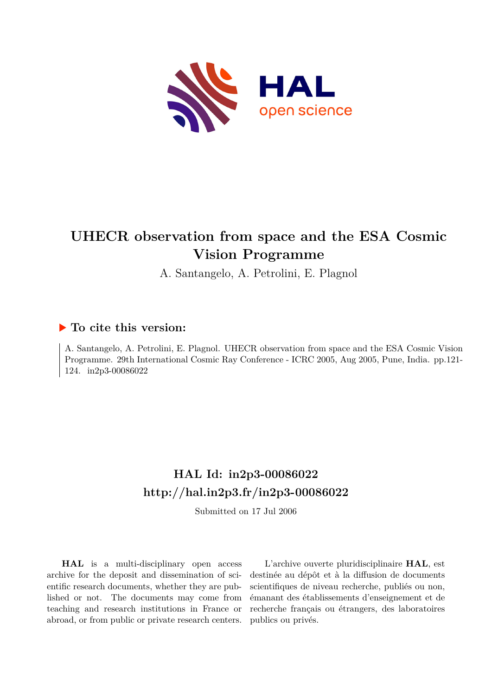

# **UHECR observation from space and the ESA Cosmic Vision Programme**

A. Santangelo, A. Petrolini, E. Plagnol

### **To cite this version:**

A. Santangelo, A. Petrolini, E. Plagnol. UHECR observation from space and the ESA Cosmic Vision Programme. 29th International Cosmic Ray Conference - ICRC 2005, Aug 2005, Pune, India. pp.121- 124. in2p3-00086022

## **HAL Id: in2p3-00086022 <http://hal.in2p3.fr/in2p3-00086022>**

Submitted on 17 Jul 2006

**HAL** is a multi-disciplinary open access archive for the deposit and dissemination of scientific research documents, whether they are published or not. The documents may come from teaching and research institutions in France or abroad, or from public or private research centers.

L'archive ouverte pluridisciplinaire **HAL**, est destinée au dépôt et à la diffusion de documents scientifiques de niveau recherche, publiés ou non, émanant des établissements d'enseignement et de recherche français ou étrangers, des laboratoires publics ou privés.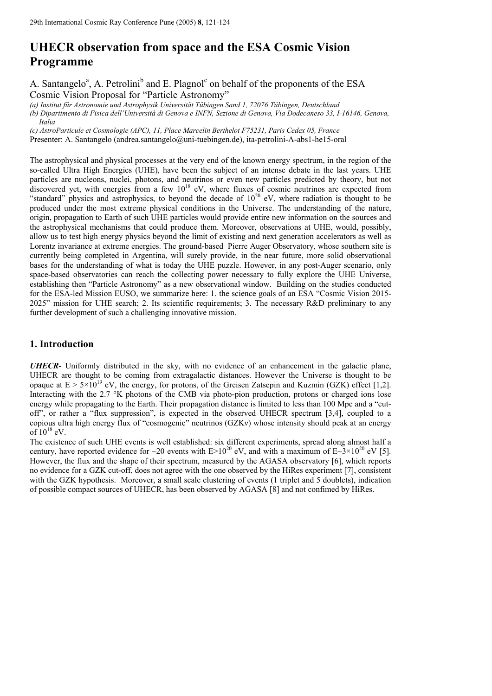## **UHECR observation from space and the ESA Cosmic Vision Programme**

A. Santangelo<sup>a</sup>, A. Petrolini<sup>b</sup> and E. Plagnol<sup>c</sup> on behalf of the proponents of the ESA Cosmic Vision Proposal for "Particle Astronomy"

*(a) Institut für Astronomie und Astrophysik Universität Tübingen Sand 1, 72076 Tübingen, Deutschland (b) Dipartimento di Fisica dell'Università di Genova e INFN, Sezione di Genova, Via Dodecaneso 33, I-16146, Genova, Italia* 

*(c) AstroParticule et Cosmologie (APC), 11, Place Marcelin Berthelot F75231, Paris Cedex 05, France*

Presenter: A. Santangelo (andrea.santangelo@uni-tuebingen.de), ita-petrolini-A-abs1-he15-oral

The astrophysical and physical processes at the very end of the known energy spectrum, in the region of the so-called Ultra High Energies (UHE), have been the subject of an intense debate in the last years. UHE particles are nucleons, nuclei, photons, and neutrinos or even new particles predicted by theory, but not discovered yet, with energies from a few  $10^{18}$  eV, where fluxes of cosmic neutrinos are expected from "standard" physics and astrophysics, to beyond the decade of  $10^{20}$  eV, where radiation is thought to be produced under the most extreme physical conditions in the Universe. The understanding of the nature, origin, propagation to Earth of such UHE particles would provide entire new information on the sources and the astrophysical mechanisms that could produce them. Moreover, observations at UHE, would, possibly, allow us to test high energy physics beyond the limit of existing and next generation accelerators as well as Lorentz invariance at extreme energies. The ground-based Pierre Auger Observatory, whose southern site is currently being completed in Argentina, will surely provide, in the near future, more solid observational bases for the understanding of what is today the UHE puzzle. However, in any post-Auger scenario, only space-based observatories can reach the collecting power necessary to fully explore the UHE Universe, establishing then "Particle Astronomy" as a new observational window. Building on the studies conducted for the ESA-led Mission EUSO, we summarize here: 1. the science goals of an ESA "Cosmic Vision 2015- 2025" mission for UHE search; 2. Its scientific requirements; 3. The necessary R&D preliminary to any further development of such a challenging innovative mission.

#### **1. Introduction**

*UHECR-* Uniformly distributed in the sky, with no evidence of an enhancement in the galactic plane, UHECR are thought to be coming from extragalactic distances. However the Universe is thought to be opaque at  $E > 5 \times 10^{19}$  eV, the energy, for protons, of the Greisen Zatsepin and Kuzmin (GZK) effect [1,2]. Interacting with the 2.7 °K photons of the CMB via photo-pion production, protons or charged ions lose energy while propagating to the Earth. Their propagation distance is limited to less than 100 Mpc and a "cutoff", or rather a "flux suppression", is expected in the observed UHECR spectrum [3,4], coupled to a copious ultra high energy flux of "cosmogenic" neutrinos (GZKν) whose intensity should peak at an energy of  $10^{18}$  eV.

The existence of such UHE events is well established: six different experiments, spread along almost half a century, have reported evidence for ~20 events with  $E>10^{20}$  eV, and with a maximum of  $E\sim3\times10^{20}$  eV [5]. However, the flux and the shape of their spectrum, measured by the AGASA observatory [6], which reports no evidence for a GZK cut-off, does not agree with the one observed by the HiRes experiment [7], consistent with the GZK hypothesis. Moreover, a small scale clustering of events (1 triplet and 5 doublets), indication of possible compact sources of UHECR, has been observed by AGASA [8] and not confimed by HiRes.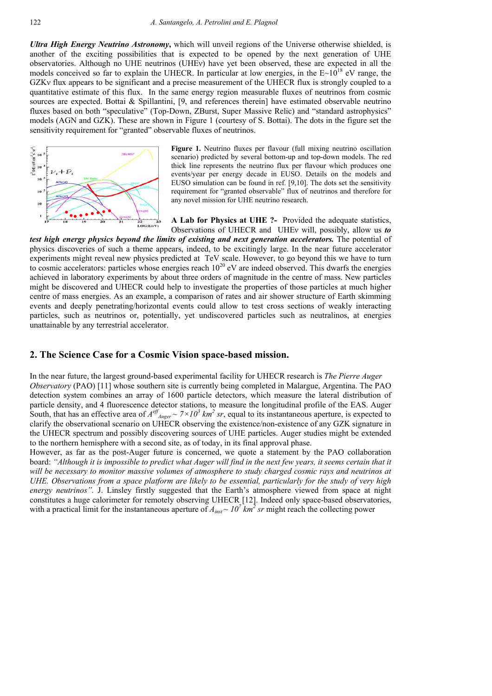*Ultra High Energy Neutrino Astronomy***,** which will unveil regions of the Universe otherwise shielded, is another of the exciting possibilities that is expected to be opened by the next generation of UHE observatories. Although no UHE neutrinos (UHEν) have yet been observed, these are expected in all the models conceived so far to explain the UHECR. In particular at low energies, in the  $E~10^{18}$  eV range, the GZKν flux appears to be significant and a precise measurement of the UHECR flux is strongly coupled to a quantitative estimate of this flux. In the same energy region measurable fluxes of neutrinos from cosmic sources are expected. Bottai & Spillantini, [9, and references therein] have estimated observable neutrino fluxes based on both "speculative" (Top-Down, ZBurst, Super Massive Relic) and "standard astrophysics" models (AGN and GZK). These are shown in Figure 1 (courtesy of S. Bottai). The dots in the figure set the sensitivity requirement for "granted" observable fluxes of neutrinos.



**Figure 1.** Neutrino fluxes per flavour (full mixing neutrino oscillation scenario) predicted by several bottom-up and top-down models. The red thick line represents the neutrino flux per flavour which produces one events/year per energy decade in EUSO. Details on the models and EUSO simulation can be found in ref. [9,10]. The dots set the sensitivity requirement for "granted observable" flux of neutrinos and therefore for any novel mission for UHE neutrino research.

**A Lab for Physics at UHE ?-** Provided the adequate statistics, Observations of UHECR and UHEν will, possibly, allow us *to test high energy physics beyond the limits of existing and next generation accelerators.* The potential of physics discoveries of such a theme appears, indeed, to be excitingly large. In the near future accelerator experiments might reveal new physics predicted at TeV scale. However, to go beyond this we have to turn to cosmic accelerators: particles whose energies reach  $10^{20}$  eV are indeed observed. This dwarfs the energies achieved in laboratory experiments by about three orders of magnitude in the centre of mass. New particles might be discovered and UHECR could help to investigate the properties of those particles at much higher centre of mass energies. As an example, a comparison of rates and air shower structure of Earth skimming events and deeply penetrating/horizontal events could allow to test cross sections of weakly interacting particles, such as neutrinos or, potentially, yet undiscovered particles such as neutralinos, at energies unattainable by any terrestrial accelerator.

#### **2. The Science Case for a Cosmic Vision space-based mission.**

In the near future, the largest ground-based experimental facility for UHECR research is *The Pierre Auger Observatory* (PAO) [11] whose southern site is currently being completed in Malargue, Argentina. The PAO detection system combines an array of 1600 particle detectors, which measure the lateral distribution of particle density, and 4 fluorescence detector stations, to measure the longitudinal profile of the EAS. Auger South, that has an effective area of  $A^{eff}$ <sub>*Auger* ~  $7 \times 10^3$  km<sup>2</sup> sr, equal to its instantaneous aperture, is expected to</sub> clarify the observational scenario on UHECR observing the existence/non-existence of any GZK signature in the UHECR spectrum and possibly discovering sources of UHE particles. Auger studies might be extended to the northern hemisphere with a second site, as of today, in its final approval phase.

However, as far as the post-Auger future is concerned, we quote a statement by the PAO collaboration board: *"Although it is impossible to predict what Auger will find in the next few years, it seems certain that it will be necessary to monitor massive volumes of atmosphere to study charged cosmic rays and neutrinos at UHE. Observations from a space platform are likely to be essential, particularly for the study of very high energy neutrinos".* J. Linsley firstly suggested that the Earth's atmosphere viewed from space at night constitutes a huge calorimeter for remotely observing UHECR [12]. Indeed only space-based observatories, with a practical limit for the instantaneous aperture of  $A_{inst} \sim 10^7$  km<sup>2</sup> sr might reach the collecting power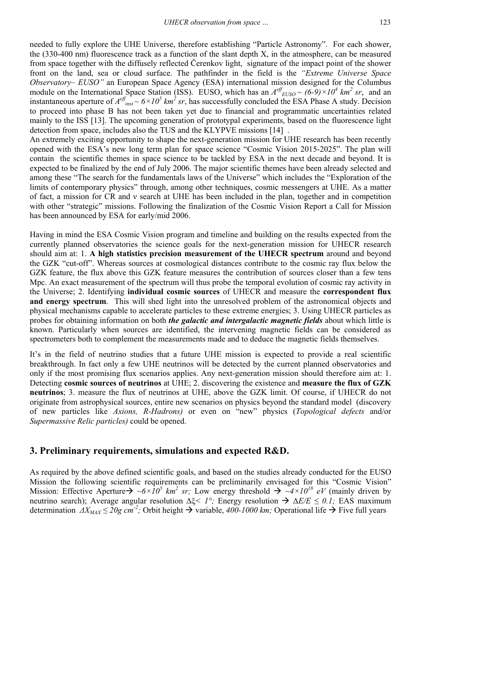needed to fully explore the UHE Universe, therefore establishing "Particle Astronomy". For each shower, the (330-400 nm) fluorescence track as a function of the slant depth X, in the atmosphere, can be measured from space together with the diffusely reflected Čerenkov light, signature of the impact point of the shower front on the land, sea or cloud surface. The pathfinder in the field is the *"Extreme Universe Space Observatory– EUSO"* an European Space Agency (ESA) international mission designed for the Columbus module on the International Space Station (ISS). EUSO, which has an  $A^{eff}_{EUSO} \sim (6-9) \times 10^4$  km<sup>2</sup> sr, and an instantaneous aperture of  $A^{eff}$ <sub>inst</sub> ~  $6 \times 10^5$  km<sup>2</sup> sr, has successfully concluded the ESA Phase A study. Decision to proceed into phase B has not been taken yet due to financial and programmatic uncertainties related mainly to the ISS [13]. The upcoming generation of prototypal experiments, based on the fluorescence light detection from space, includes also the TUS and the KLYPVE missions [14] .

An extremely exciting opportunity to shape the next-generation mission for UHE research has been recently opened with the ESA's new long term plan for space science "Cosmic Vision 2015-2025". The plan will contain the scientific themes in space science to be tackled by ESA in the next decade and beyond. It is expected to be finalized by the end of July 2006. The major scientific themes have been already selected and among these "The search for the fundamentals laws of the Universe" which includes the "Exploration of the limits of contemporary physics" through, among other techniques, cosmic messengers at UHE. As a matter of fact, a mission for CR and ν search at UHE has been included in the plan, together and in competition with other "strategic" missions. Following the finalization of the Cosmic Vision Report a Call for Mission has been announced by ESA for early/mid 2006.

Having in mind the ESA Cosmic Vision program and timeline and building on the results expected from the currently planned observatories the science goals for the next-generation mission for UHECR research should aim at: 1. **A high statistics precision measurement of the UHECR spectrum** around and beyond the GZK "cut-off". Whereas sources at cosmological distances contribute to the cosmic ray flux below the GZK feature, the flux above this GZK feature measures the contribution of sources closer than a few tens Mpc. An exact measurement of the spectrum will thus probe the temporal evolution of cosmic ray activity in the Universe; 2. Identifying **individual cosmic sources** of UHECR and measure the **correspondent flux and energy spectrum**. This will shed light into the unresolved problem of the astronomical objects and physical mechanisms capable to accelerate particles to these extreme energies; 3. Using UHECR particles as probes for obtaining information on both *the galactic and intergalactic magnetic fields* about which little is known. Particularly when sources are identified, the intervening magnetic fields can be considered as spectrometers both to complement the measurements made and to deduce the magnetic fields themselves.

It's in the field of neutrino studies that a future UHE mission is expected to provide a real scientific breakthrough. In fact only a few UHE neutrinos will be detected by the current planned observatories and only if the most promising flux scenarios applies. Any next-generation mission should therefore aim at: 1. Detecting **cosmic sources of neutrinos** at UHE; 2. discovering the existence and **measure the flux of GZK neutrinos**; 3. measure the flux of neutrinos at UHE, above the GZK limit. Of course, if UHECR do not originate from astrophysical sources, entire new scenarios on physics beyond the standard model (discovery of new particles like *Axions, R-Hadrons)* or even on "new" physics (*Topological defects* and/or *Supermassive Relic particles)* could be opened.

#### **3. Preliminary requirements, simulations and expected R&D.**

As required by the above defined scientific goals, and based on the studies already conducted for the EUSO Mission the following scientific requirements can be preliminarily envisaged for this "Cosmic Vision" Mission: Effective Aperture $\rightarrow \sim 6 \times 10^5$  km<sup>2</sup> sr; Low energy threshold  $\rightarrow \sim 4 \times 10^{18}$  eV (mainly driven by neutrino search); Average angular resolution ∆ξ*< 1°;* Energy resolution Æ ∆*E/E ≤ 0.1;* EAS maximum determination  $\Delta X_{MAX} \le 20g$  cm<sup>-2</sup>; Orbit height → variable,  $400-1000$  km; Operational life → Five full years